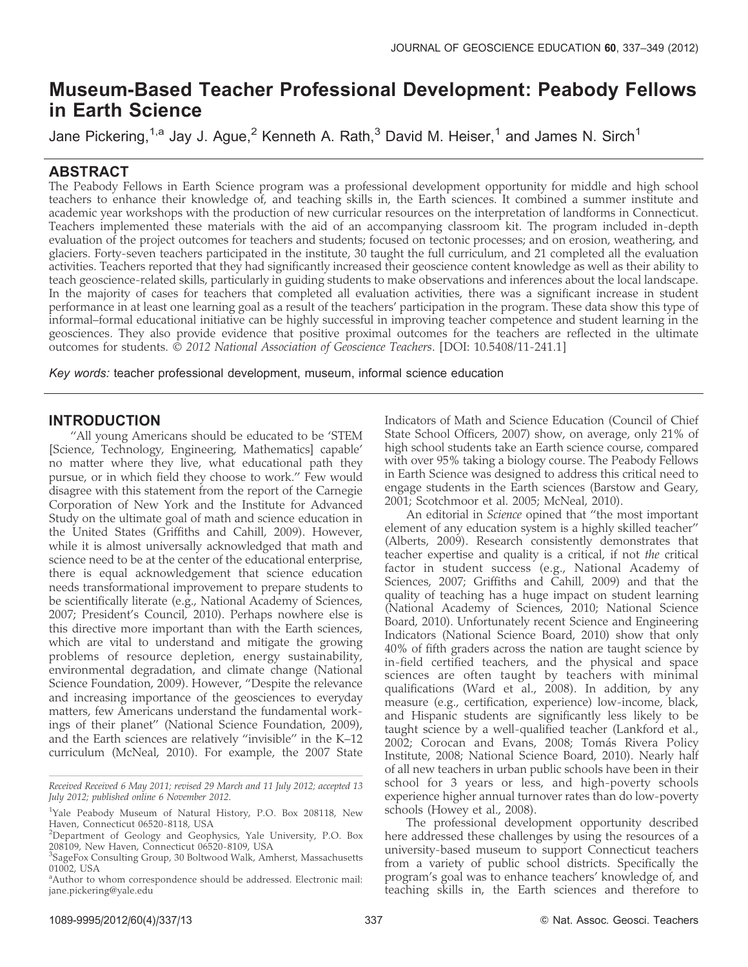# Museum-Based Teacher Professional Development: Peabody Fellows in Earth Science

Jane Pickering,<sup>1,a</sup> Jay J. Ague,<sup>2</sup> Kenneth A. Rath,<sup>3</sup> David M. Heiser,<sup>1</sup> and James N. Sirch<sup>1</sup>

# ABSTRACT

The Peabody Fellows in Earth Science program was a professional development opportunity for middle and high school teachers to enhance their knowledge of, and teaching skills in, the Earth sciences. It combined a summer institute and academic year workshops with the production of new curricular resources on the interpretation of landforms in Connecticut. Teachers implemented these materials with the aid of an accompanying classroom kit. The program included in-depth evaluation of the project outcomes for teachers and students; focused on tectonic processes; and on erosion, weathering, and glaciers. Forty-seven teachers participated in the institute, 30 taught the full curriculum, and 21 completed all the evaluation activities. Teachers reported that they had significantly increased their geoscience content knowledge as well as their ability to teach geoscience-related skills, particularly in guiding students to make observations and inferences about the local landscape. In the majority of cases for teachers that completed all evaluation activities, there was a significant increase in student performance in at least one learning goal as a result of the teachers' participation in the program. These data show this type of informal–formal educational initiative can be highly successful in improving teacher competence and student learning in the geosciences. They also provide evidence that positive proximal outcomes for the teachers are reflected in the ultimate outcomes for students. © 2012 National Association of Geoscience Teachers. [DOI: 10.5408/11-241.1]

Key words: teacher professional development, museum, informal science education

# INTRODUCTION

''All young Americans should be educated to be 'STEM [Science, Technology, Engineering, Mathematics] capable' no matter where they live, what educational path they pursue, or in which field they choose to work.'' Few would disagree with this statement from the report of the Carnegie Corporation of New York and the Institute for Advanced Study on the ultimate goal of math and science education in the United States (Griffiths and Cahill, 2009). However, while it is almost universally acknowledged that math and science need to be at the center of the educational enterprise, there is equal acknowledgement that science education needs transformational improvement to prepare students to be scientifically literate (e.g., National Academy of Sciences, 2007; President's Council, 2010). Perhaps nowhere else is this directive more important than with the Earth sciences, which are vital to understand and mitigate the growing problems of resource depletion, energy sustainability, environmental degradation, and climate change (National Science Foundation, 2009). However, ''Despite the relevance and increasing importance of the geosciences to everyday matters, few Americans understand the fundamental workings of their planet'' (National Science Foundation, 2009), and the Earth sciences are relatively ''invisible'' in the K–12 curriculum (McNeal, 2010). For example, the 2007 State

Indicators of Math and Science Education (Council of Chief State School Officers, 2007) show, on average, only 21% of high school students take an Earth science course, compared with over 95% taking a biology course. The Peabody Fellows in Earth Science was designed to address this critical need to engage students in the Earth sciences (Barstow and Geary, 2001; Scotchmoor et al. 2005; McNeal, 2010).

An editorial in Science opined that ''the most important element of any education system is a highly skilled teacher'' (Alberts, 2009). Research consistently demonstrates that teacher expertise and quality is a critical, if not the critical factor in student success (e.g., National Academy of Sciences, 2007; Griffiths and Cahill, 2009) and that the quality of teaching has a huge impact on student learning (National Academy of Sciences, 2010; National Science Board, 2010). Unfortunately recent Science and Engineering Indicators (National Science Board, 2010) show that only 40% of fifth graders across the nation are taught science by in-field certified teachers, and the physical and space sciences are often taught by teachers with minimal qualifications (Ward et al., 2008). In addition, by any measure (e.g., certification, experience) low-income, black, and Hispanic students are significantly less likely to be taught science by a well-qualified teacher (Lankford et al., 2002; Corocan and Evans, 2008; Tomás Rivera Policy Institute, 2008; National Science Board, 2010). Nearly half of all new teachers in urban public schools have been in their school for 3 years or less, and high-poverty schools experience higher annual turnover rates than do low-poverty schools (Howey et al., 2008).

The professional development opportunity described here addressed these challenges by using the resources of a university-based museum to support Connecticut teachers from a variety of public school districts. Specifically the program's goal was to enhance teachers' knowledge of, and teaching skills in, the Earth sciences and therefore to

Received Received 6 May 2011; revised 29 March and 11 July 2012; accepted 13 July 2012; published online 6 November 2012.

<sup>&</sup>lt;sup>1</sup>Yale Peabody Museum of Natural History, P.O. Box 208118, New Haven, Connecticut 06520-8118, USA

<sup>&</sup>lt;sup>2</sup>Department of Geology and Geophysics, Yale University, P.O. Box 208109, New Haven, Connecticut 06520-8109, USA

<sup>3</sup> SageFox Consulting Group, 30 Boltwood Walk, Amherst, Massachusetts 01002, USA

<sup>&</sup>lt;sup>a</sup> Author to whom correspondence should be addressed. Electronic mail: jane.pickering@yale.edu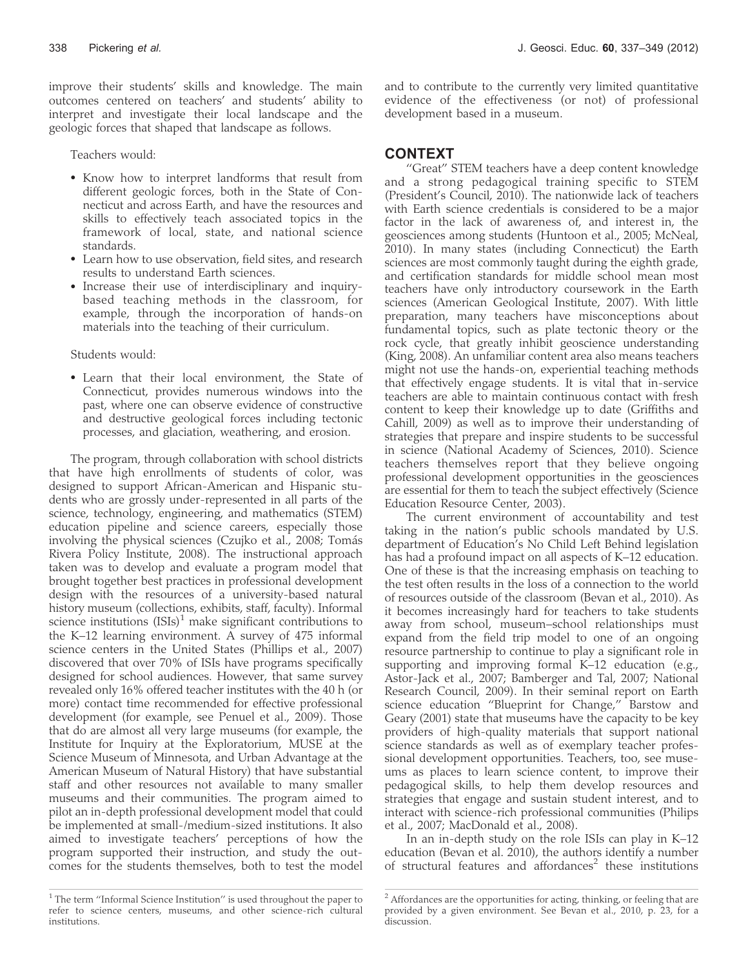improve their students' skills and knowledge. The main outcomes centered on teachers' and students' ability to interpret and investigate their local landscape and the geologic forces that shaped that landscape as follows.

Teachers would:

- Know how to interpret landforms that result from different geologic forces, both in the State of Connecticut and across Earth, and have the resources and skills to effectively teach associated topics in the framework of local, state, and national science standards.
- Learn how to use observation, field sites, and research results to understand Earth sciences.
- Increase their use of interdisciplinary and inquirybased teaching methods in the classroom, for example, through the incorporation of hands-on materials into the teaching of their curriculum.

Students would:

- Learn that their local environment, the State of Connecticut, provides numerous windows into the past, where one can observe evidence of constructive and destructive geological forces including tectonic processes, and glaciation, weathering, and erosion.

The program, through collaboration with school districts that have high enrollments of students of color, was designed to support African-American and Hispanic students who are grossly under-represented in all parts of the science, technology, engineering, and mathematics (STEM) education pipeline and science careers, especially those involving the physical sciences (Czujko et al., 2008; Tomás Rivera Policy Institute, 2008). The instructional approach taken was to develop and evaluate a program model that brought together best practices in professional development design with the resources of a university-based natural history museum (collections, exhibits, staff, faculty). Informal science institutions  $(ISIs)^1$  make significant contributions to the K–12 learning environment. A survey of 475 informal science centers in the United States (Phillips et al., 2007) discovered that over 70% of ISIs have programs specifically designed for school audiences. However, that same survey revealed only 16% offered teacher institutes with the 40 h (or more) contact time recommended for effective professional development (for example, see Penuel et al., 2009). Those that do are almost all very large museums (for example, the Institute for Inquiry at the Exploratorium, MUSE at the Science Museum of Minnesota, and Urban Advantage at the American Museum of Natural History) that have substantial staff and other resources not available to many smaller museums and their communities. The program aimed to pilot an in-depth professional development model that could be implemented at small-/medium-sized institutions. It also aimed to investigate teachers' perceptions of how the program supported their instruction, and study the outcomes for the students themselves, both to test the model

and to contribute to the currently very limited quantitative evidence of the effectiveness (or not) of professional development based in a museum.

# CONTEXT

'Great'' STEM teachers have a deep content knowledge and a strong pedagogical training specific to STEM (President's Council, 2010). The nationwide lack of teachers with Earth science credentials is considered to be a major factor in the lack of awareness of, and interest in, the geosciences among students (Huntoon et al., 2005; McNeal, 2010). In many states (including Connecticut) the Earth sciences are most commonly taught during the eighth grade, and certification standards for middle school mean most teachers have only introductory coursework in the Earth sciences (American Geological Institute, 2007). With little preparation, many teachers have misconceptions about fundamental topics, such as plate tectonic theory or the rock cycle, that greatly inhibit geoscience understanding (King, 2008). An unfamiliar content area also means teachers might not use the hands-on, experiential teaching methods that effectively engage students. It is vital that in-service teachers are able to maintain continuous contact with fresh content to keep their knowledge up to date (Griffiths and Cahill, 2009) as well as to improve their understanding of strategies that prepare and inspire students to be successful in science (National Academy of Sciences, 2010). Science teachers themselves report that they believe ongoing professional development opportunities in the geosciences are essential for them to teach the subject effectively (Science Education Resource Center, 2003).

The current environment of accountability and test taking in the nation's public schools mandated by U.S. department of Education's No Child Left Behind legislation has had a profound impact on all aspects of K–12 education. One of these is that the increasing emphasis on teaching to the test often results in the loss of a connection to the world of resources outside of the classroom (Bevan et al., 2010). As it becomes increasingly hard for teachers to take students away from school, museum–school relationships must expand from the field trip model to one of an ongoing resource partnership to continue to play a significant role in supporting and improving formal K–12 education (e.g., Astor-Jack et al., 2007; Bamberger and Tal, 2007; National Research Council, 2009). In their seminal report on Earth science education ''Blueprint for Change,'' Barstow and Geary (2001) state that museums have the capacity to be key providers of high-quality materials that support national science standards as well as of exemplary teacher professional development opportunities. Teachers, too, see museums as places to learn science content, to improve their pedagogical skills, to help them develop resources and strategies that engage and sustain student interest, and to interact with science-rich professional communities (Philips et al., 2007; MacDonald et al., 2008).

In an in-depth study on the role ISIs can play in K–12 education (Bevan et al. 2010), the authors identify a number of structural features and affordances<sup>2</sup> these institutions

 $1$  The term "Informal Science Institution" is used throughout the paper to refer to science centers, museums, and other science-rich cultural institutions.

 $2$  Affordances are the opportunities for acting, thinking, or feeling that are provided by a given environment. See Bevan et al., 2010, p. 23, for a discussion.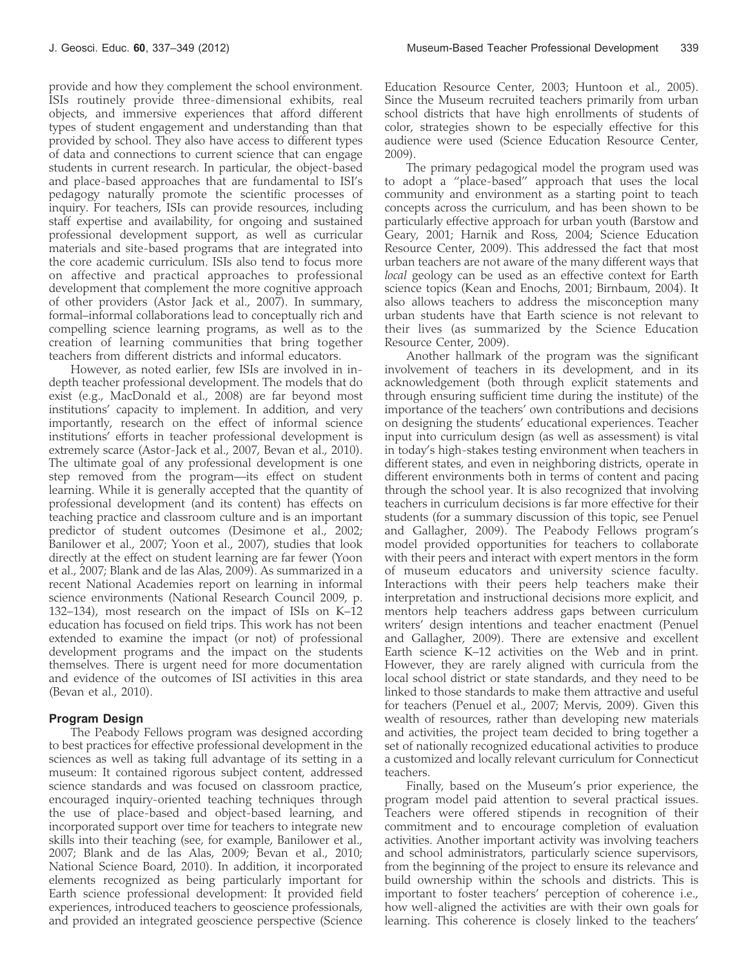provide and how they complement the school environment. ISIs routinely provide three-dimensional exhibits, real objects, and immersive experiences that afford different types of student engagement and understanding than that provided by school. They also have access to different types of data and connections to current science that can engage students in current research. In particular, the object-based and place-based approaches that are fundamental to ISI's pedagogy naturally promote the scientific processes of inquiry. For teachers, ISIs can provide resources, including staff expertise and availability, for ongoing and sustained professional development support, as well as curricular materials and site-based programs that are integrated into the core academic curriculum. ISIs also tend to focus more on affective and practical approaches to professional development that complement the more cognitive approach of other providers (Astor Jack et al., 2007). In summary, formal–informal collaborations lead to conceptually rich and compelling science learning programs, as well as to the creation of learning communities that bring together teachers from different districts and informal educators.

However, as noted earlier, few ISIs are involved in indepth teacher professional development. The models that do exist (e.g., MacDonald et al., 2008) are far beyond most institutions' capacity to implement. In addition, and very importantly, research on the effect of informal science institutions' efforts in teacher professional development is extremely scarce (Astor-Jack et al., 2007, Bevan et al., 2010). The ultimate goal of any professional development is one step removed from the program—its effect on student learning. While it is generally accepted that the quantity of professional development (and its content) has effects on teaching practice and classroom culture and is an important predictor of student outcomes (Desimone et al., 2002; Banilower et al., 2007; Yoon et al., 2007), studies that look directly at the effect on student learning are far fewer (Yoon et al., 2007; Blank and de las Alas, 2009). As summarized in a recent National Academies report on learning in informal science environments (National Research Council 2009, p. 132–134), most research on the impact of ISIs on K–12 education has focused on field trips. This work has not been extended to examine the impact (or not) of professional development programs and the impact on the students themselves. There is urgent need for more documentation and evidence of the outcomes of ISI activities in this area (Bevan et al., 2010).

## Program Design

The Peabody Fellows program was designed according to best practices for effective professional development in the sciences as well as taking full advantage of its setting in a museum: It contained rigorous subject content, addressed science standards and was focused on classroom practice, encouraged inquiry-oriented teaching techniques through the use of place-based and object-based learning, and incorporated support over time for teachers to integrate new skills into their teaching (see, for example, Banilower et al., 2007; Blank and de las Alas, 2009; Bevan et al., 2010; National Science Board, 2010). In addition, it incorporated elements recognized as being particularly important for Earth science professional development: It provided field experiences, introduced teachers to geoscience professionals, and provided an integrated geoscience perspective (Science

Education Resource Center, 2003; Huntoon et al., 2005). Since the Museum recruited teachers primarily from urban school districts that have high enrollments of students of color, strategies shown to be especially effective for this audience were used (Science Education Resource Center, 2009).

The primary pedagogical model the program used was to adopt a ''place-based'' approach that uses the local community and environment as a starting point to teach concepts across the curriculum, and has been shown to be particularly effective approach for urban youth (Barstow and Geary, 2001; Harnik and Ross, 2004; Science Education Resource Center, 2009). This addressed the fact that most urban teachers are not aware of the many different ways that local geology can be used as an effective context for Earth science topics (Kean and Enochs, 2001; Birnbaum, 2004). It also allows teachers to address the misconception many urban students have that Earth science is not relevant to their lives (as summarized by the Science Education Resource Center, 2009).

Another hallmark of the program was the significant involvement of teachers in its development, and in its acknowledgement (both through explicit statements and through ensuring sufficient time during the institute) of the importance of the teachers' own contributions and decisions on designing the students' educational experiences. Teacher input into curriculum design (as well as assessment) is vital in today's high-stakes testing environment when teachers in different states, and even in neighboring districts, operate in different environments both in terms of content and pacing through the school year. It is also recognized that involving teachers in curriculum decisions is far more effective for their students (for a summary discussion of this topic, see Penuel and Gallagher, 2009). The Peabody Fellows program's model provided opportunities for teachers to collaborate with their peers and interact with expert mentors in the form of museum educators and university science faculty. Interactions with their peers help teachers make their interpretation and instructional decisions more explicit, and mentors help teachers address gaps between curriculum writers' design intentions and teacher enactment (Penuel and Gallagher, 2009). There are extensive and excellent Earth science K–12 activities on the Web and in print. However, they are rarely aligned with curricula from the local school district or state standards, and they need to be linked to those standards to make them attractive and useful for teachers (Penuel et al., 2007; Mervis, 2009). Given this wealth of resources, rather than developing new materials and activities, the project team decided to bring together a set of nationally recognized educational activities to produce a customized and locally relevant curriculum for Connecticut teachers.

Finally, based on the Museum's prior experience, the program model paid attention to several practical issues. Teachers were offered stipends in recognition of their commitment and to encourage completion of evaluation activities. Another important activity was involving teachers and school administrators, particularly science supervisors, from the beginning of the project to ensure its relevance and build ownership within the schools and districts. This is important to foster teachers' perception of coherence i.e., how well-aligned the activities are with their own goals for learning. This coherence is closely linked to the teachers'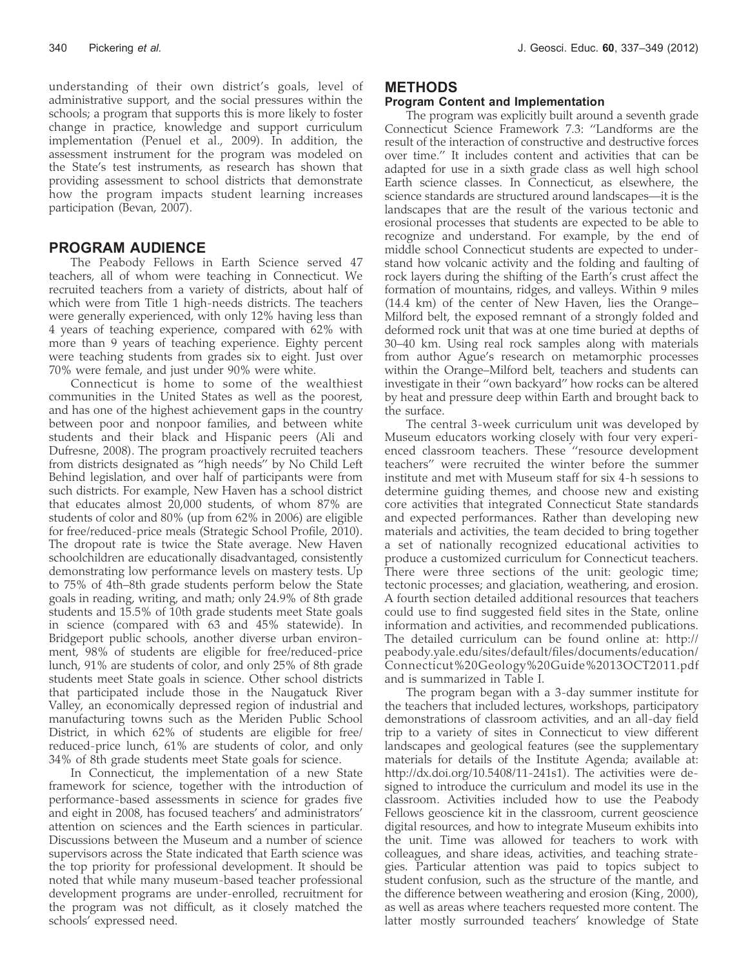understanding of their own district's goals, level of administrative support, and the social pressures within the schools; a program that supports this is more likely to foster change in practice, knowledge and support curriculum implementation (Penuel et al., 2009). In addition, the assessment instrument for the program was modeled on the State's test instruments, as research has shown that providing assessment to school districts that demonstrate how the program impacts student learning increases participation (Bevan, 2007).

# PROGRAM AUDIENCE

The Peabody Fellows in Earth Science served 47 teachers, all of whom were teaching in Connecticut. We recruited teachers from a variety of districts, about half of which were from Title 1 high-needs districts. The teachers were generally experienced, with only 12% having less than 4 years of teaching experience, compared with 62% with more than 9 years of teaching experience. Eighty percent were teaching students from grades six to eight. Just over 70% were female, and just under 90% were white.

Connecticut is home to some of the wealthiest communities in the United States as well as the poorest, and has one of the highest achievement gaps in the country between poor and nonpoor families, and between white students and their black and Hispanic peers (Ali and Dufresne, 2008). The program proactively recruited teachers from districts designated as ''high needs'' by No Child Left Behind legislation, and over half of participants were from such districts. For example, New Haven has a school district that educates almost 20,000 students, of whom 87% are students of color and 80% (up from 62% in 2006) are eligible for free/reduced-price meals (Strategic School Profile, 2010). The dropout rate is twice the State average. New Haven schoolchildren are educationally disadvantaged, consistently demonstrating low performance levels on mastery tests. Up to 75% of 4th–8th grade students perform below the State goals in reading, writing, and math; only 24.9% of 8th grade students and 15.5% of 10th grade students meet State goals in science (compared with 63 and 45% statewide). In Bridgeport public schools, another diverse urban environment, 98% of students are eligible for free/reduced-price lunch, 91% are students of color, and only 25% of 8th grade students meet State goals in science. Other school districts that participated include those in the Naugatuck River Valley, an economically depressed region of industrial and manufacturing towns such as the Meriden Public School District, in which 62% of students are eligible for free/ reduced-price lunch, 61% are students of color, and only 34% of 8th grade students meet State goals for science.

In Connecticut, the implementation of a new State framework for science, together with the introduction of performance-based assessments in science for grades five and eight in 2008, has focused teachers' and administrators' attention on sciences and the Earth sciences in particular. Discussions between the Museum and a number of science supervisors across the State indicated that Earth science was the top priority for professional development. It should be noted that while many museum-based teacher professional development programs are under-enrolled, recruitment for the program was not difficult, as it closely matched the schools' expressed need.

# METHODS

# Program Content and Implementation

The program was explicitly built around a seventh grade Connecticut Science Framework 7.3: ''Landforms are the result of the interaction of constructive and destructive forces over time.'' It includes content and activities that can be adapted for use in a sixth grade class as well high school Earth science classes. In Connecticut, as elsewhere, the science standards are structured around landscapes—it is the landscapes that are the result of the various tectonic and erosional processes that students are expected to be able to recognize and understand. For example, by the end of middle school Connecticut students are expected to understand how volcanic activity and the folding and faulting of rock layers during the shifting of the Earth's crust affect the formation of mountains, ridges, and valleys. Within 9 miles (14.4 km) of the center of New Haven, lies the Orange– Milford belt, the exposed remnant of a strongly folded and deformed rock unit that was at one time buried at depths of 30–40 km. Using real rock samples along with materials from author Ague's research on metamorphic processes within the Orange–Milford belt, teachers and students can investigate in their ''own backyard'' how rocks can be altered by heat and pressure deep within Earth and brought back to the surface.

The central 3-week curriculum unit was developed by Museum educators working closely with four very experienced classroom teachers. These ''resource development teachers'' were recruited the winter before the summer institute and met with Museum staff for six 4-h sessions to determine guiding themes, and choose new and existing core activities that integrated Connecticut State standards and expected performances. Rather than developing new materials and activities, the team decided to bring together a set of nationally recognized educational activities to produce a customized curriculum for Connecticut teachers. There were three sections of the unit: geologic time; tectonic processes; and glaciation, weathering, and erosion. A fourth section detailed additional resources that teachers could use to find suggested field sites in the State, online information and activities, and recommended publications. The detailed curriculum can be found online at: http:// peabody.yale.edu/sites/default/files/documents/education/ Connecticut%20Geology%20Guide%2013OCT2011.pdf and is summarized in Table I.

The program began with a 3-day summer institute for the teachers that included lectures, workshops, participatory demonstrations of classroom activities, and an all-day field trip to a variety of sites in Connecticut to view different landscapes and geological features (see the supplementary materials for details of the Institute Agenda; available at: http://dx.doi.org/10.5408/11-241s1). The activities were designed to introduce the curriculum and model its use in the classroom. Activities included how to use the Peabody Fellows geoscience kit in the classroom, current geoscience digital resources, and how to integrate Museum exhibits into the unit. Time was allowed for teachers to work with colleagues, and share ideas, activities, and teaching strategies. Particular attention was paid to topics subject to student confusion, such as the structure of the mantle, and the difference between weathering and erosion (King, 2000), as well as areas where teachers requested more content. The latter mostly surrounded teachers' knowledge of State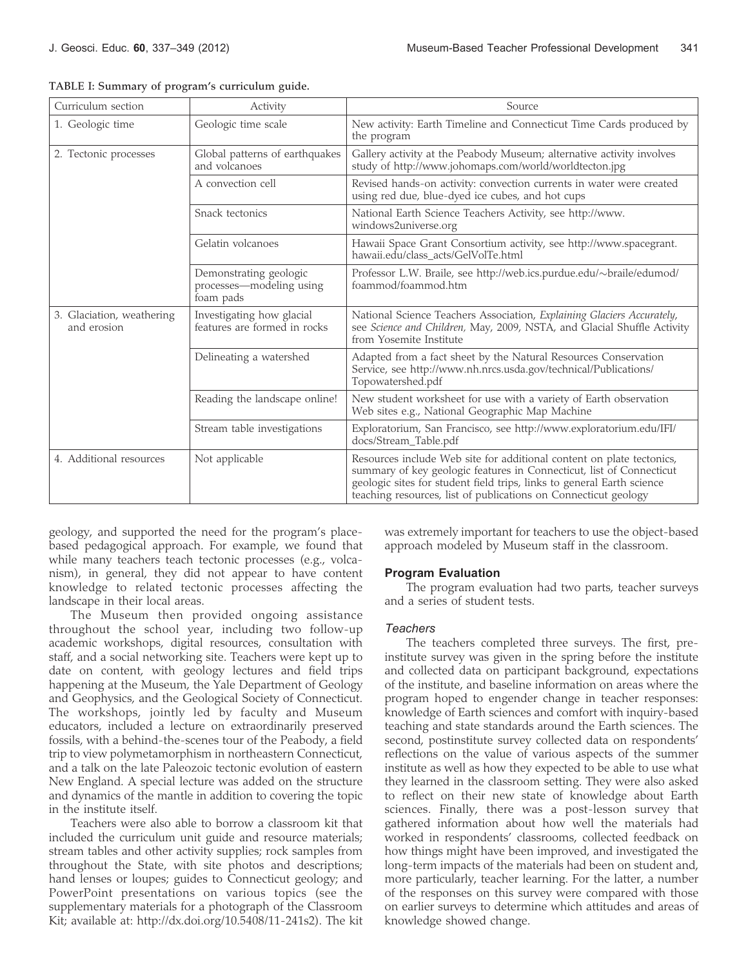TABLE I: Summary of program's curriculum guide.

| Curriculum section                       | Activity                                                        | Source                                                                                                                                                                                                                                                                                     |  |  |
|------------------------------------------|-----------------------------------------------------------------|--------------------------------------------------------------------------------------------------------------------------------------------------------------------------------------------------------------------------------------------------------------------------------------------|--|--|
| 1. Geologic time                         | Geologic time scale                                             | New activity: Earth Timeline and Connecticut Time Cards produced by<br>the program                                                                                                                                                                                                         |  |  |
| 2. Tectonic processes                    | Global patterns of earthquakes<br>and volcanoes                 | Gallery activity at the Peabody Museum; alternative activity involves<br>study of http://www.johomaps.com/world/worldtecton.jpg                                                                                                                                                            |  |  |
|                                          | A convection cell                                               | Revised hands-on activity: convection currents in water were created<br>using red due, blue-dyed ice cubes, and hot cups                                                                                                                                                                   |  |  |
|                                          | Snack tectonics                                                 | National Earth Science Teachers Activity, see http://www.<br>windows2universe.org                                                                                                                                                                                                          |  |  |
|                                          | Gelatin volcanoes                                               | Hawaii Space Grant Consortium activity, see http://www.spacegrant.<br>hawaii.edu/class_acts/GelVolTe.html                                                                                                                                                                                  |  |  |
|                                          | Demonstrating geologic<br>processes-modeling using<br>foam pads | Professor L.W. Braile, see http://web.ics.purdue.edu/~braile/edumod/<br>foammod/foammod.htm                                                                                                                                                                                                |  |  |
| 3. Glaciation, weathering<br>and erosion | Investigating how glacial<br>features are formed in rocks       | National Science Teachers Association, Explaining Glaciers Accurately,<br>see Science and Children, May, 2009, NSTA, and Glacial Shuffle Activity<br>from Yosemite Institute                                                                                                               |  |  |
|                                          | Delineating a watershed                                         | Adapted from a fact sheet by the Natural Resources Conservation<br>Service, see http://www.nh.nrcs.usda.gov/technical/Publications/<br>Topowatershed.pdf                                                                                                                                   |  |  |
|                                          | Reading the landscape online!                                   | New student worksheet for use with a variety of Earth observation<br>Web sites e.g., National Geographic Map Machine                                                                                                                                                                       |  |  |
|                                          | Stream table investigations                                     | Exploratorium, San Francisco, see http://www.exploratorium.edu/IFI/<br>docs/Stream_Table.pdf                                                                                                                                                                                               |  |  |
| 4. Additional resources                  | Not applicable                                                  | Resources include Web site for additional content on plate tectonics,<br>summary of key geologic features in Connecticut, list of Connecticut<br>geologic sites for student field trips, links to general Earth science<br>teaching resources, list of publications on Connecticut geology |  |  |

geology, and supported the need for the program's placebased pedagogical approach. For example, we found that while many teachers teach tectonic processes (e.g., volcanism), in general, they did not appear to have content knowledge to related tectonic processes affecting the landscape in their local areas.

The Museum then provided ongoing assistance throughout the school year, including two follow-up academic workshops, digital resources, consultation with staff, and a social networking site. Teachers were kept up to date on content, with geology lectures and field trips happening at the Museum, the Yale Department of Geology and Geophysics, and the Geological Society of Connecticut. The workshops, jointly led by faculty and Museum educators, included a lecture on extraordinarily preserved fossils, with a behind-the-scenes tour of the Peabody, a field trip to view polymetamorphism in northeastern Connecticut, and a talk on the late Paleozoic tectonic evolution of eastern New England. A special lecture was added on the structure and dynamics of the mantle in addition to covering the topic in the institute itself.

Teachers were also able to borrow a classroom kit that included the curriculum unit guide and resource materials; stream tables and other activity supplies; rock samples from throughout the State, with site photos and descriptions; hand lenses or loupes; guides to Connecticut geology; and PowerPoint presentations on various topics (see the supplementary materials for a photograph of the Classroom Kit; available at: http://dx.doi.org/10.5408/11-241s2). The kit

was extremely important for teachers to use the object-based approach modeled by Museum staff in the classroom.

#### Program Evaluation

The program evaluation had two parts, teacher surveys and a series of student tests.

#### **Teachers**

The teachers completed three surveys. The first, preinstitute survey was given in the spring before the institute and collected data on participant background, expectations of the institute, and baseline information on areas where the program hoped to engender change in teacher responses: knowledge of Earth sciences and comfort with inquiry-based teaching and state standards around the Earth sciences. The second, postinstitute survey collected data on respondents' reflections on the value of various aspects of the summer institute as well as how they expected to be able to use what they learned in the classroom setting. They were also asked to reflect on their new state of knowledge about Earth sciences. Finally, there was a post-lesson survey that gathered information about how well the materials had worked in respondents' classrooms, collected feedback on how things might have been improved, and investigated the long-term impacts of the materials had been on student and, more particularly, teacher learning. For the latter, a number of the responses on this survey were compared with those on earlier surveys to determine which attitudes and areas of knowledge showed change.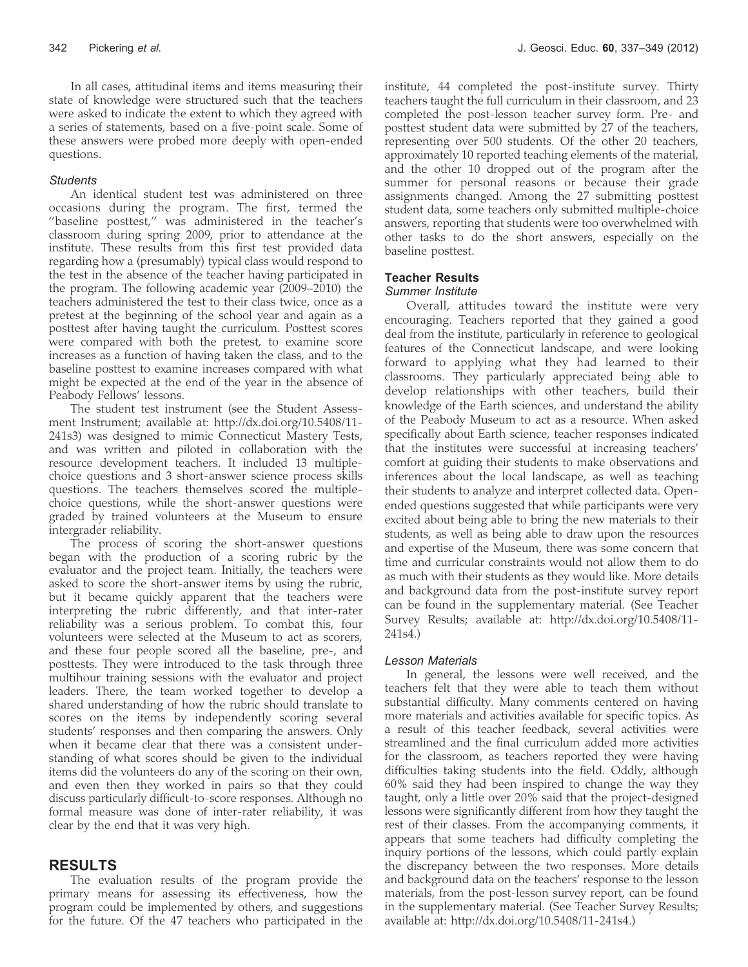In all cases, attitudinal items and items measuring their state of knowledge were structured such that the teachers were asked to indicate the extent to which they agreed with a series of statements, based on a five-point scale. Some of these answers were probed more deeply with open-ended questions.

#### **Students**

An identical student test was administered on three occasions during the program. The first, termed the "baseline posttest," was administered in the teacher's classroom during spring 2009, prior to attendance at the institute. These results from this first test provided data regarding how a (presumably) typical class would respond to the test in the absence of the teacher having participated in the program. The following academic year  $(2009-2010)$  the teachers administered the test to their class twice, once as a pretest at the beginning of the school year and again as a posttest after having taught the curriculum. Posttest scores were compared with both the pretest, to examine score increases as a function of having taken the class, and to the baseline posttest to examine increases compared with what might be expected at the end of the year in the absence of Peabody Fellows' lessons.

The student test instrument (see the Student Assessment Instrument; available at: http://dx.doi.org/10.5408/11- 241s3) was designed to mimic Connecticut Mastery Tests, and was written and piloted in collaboration with the resource development teachers. It included 13 multiplechoice questions and 3 short-answer science process skills questions. The teachers themselves scored the multiplechoice questions, while the short-answer questions were graded by trained volunteers at the Museum to ensure intergrader reliability.

The process of scoring the short-answer questions began with the production of a scoring rubric by the evaluator and the project team. Initially, the teachers were asked to score the short-answer items by using the rubric, but it became quickly apparent that the teachers were interpreting the rubric differently, and that inter-rater reliability was a serious problem. To combat this, four volunteers were selected at the Museum to act as scorers, and these four people scored all the baseline, pre-, and posttests. They were introduced to the task through three multihour training sessions with the evaluator and project leaders. There, the team worked together to develop a shared understanding of how the rubric should translate to scores on the items by independently scoring several students' responses and then comparing the answers. Only when it became clear that there was a consistent understanding of what scores should be given to the individual items did the volunteers do any of the scoring on their own, and even then they worked in pairs so that they could discuss particularly difficult-to-score responses. Although no formal measure was done of inter-rater reliability, it was clear by the end that it was very high.

## RESULTS

The evaluation results of the program provide the primary means for assessing its effectiveness, how the program could be implemented by others, and suggestions for the future. Of the 47 teachers who participated in the

institute, 44 completed the post-institute survey. Thirty teachers taught the full curriculum in their classroom, and 23 completed the post-lesson teacher survey form. Pre- and posttest student data were submitted by 27 of the teachers, representing over 500 students. Of the other 20 teachers, approximately 10 reported teaching elements of the material, and the other 10 dropped out of the program after the summer for personal reasons or because their grade assignments changed. Among the 27 submitting posttest student data, some teachers only submitted multiple-choice answers, reporting that students were too overwhelmed with other tasks to do the short answers, especially on the baseline posttest.

#### Teacher Results

#### Summer Institute

Overall, attitudes toward the institute were very encouraging. Teachers reported that they gained a good deal from the institute, particularly in reference to geological features of the Connecticut landscape, and were looking forward to applying what they had learned to their classrooms. They particularly appreciated being able to develop relationships with other teachers, build their knowledge of the Earth sciences, and understand the ability of the Peabody Museum to act as a resource. When asked specifically about Earth science, teacher responses indicated that the institutes were successful at increasing teachers' comfort at guiding their students to make observations and inferences about the local landscape, as well as teaching their students to analyze and interpret collected data. Openended questions suggested that while participants were very excited about being able to bring the new materials to their students, as well as being able to draw upon the resources and expertise of the Museum, there was some concern that time and curricular constraints would not allow them to do as much with their students as they would like. More details and background data from the post-institute survey report can be found in the supplementary material. (See Teacher Survey Results; available at: http://dx.doi.org/10.5408/11- 241s4.)

#### Lesson Materials

In general, the lessons were well received, and the teachers felt that they were able to teach them without substantial difficulty. Many comments centered on having more materials and activities available for specific topics. As a result of this teacher feedback, several activities were streamlined and the final curriculum added more activities for the classroom, as teachers reported they were having difficulties taking students into the field. Oddly, although 60% said they had been inspired to change the way they taught, only a little over 20% said that the project-designed lessons were significantly different from how they taught the rest of their classes. From the accompanying comments, it appears that some teachers had difficulty completing the inquiry portions of the lessons, which could partly explain the discrepancy between the two responses. More details and background data on the teachers' response to the lesson materials, from the post-lesson survey report, can be found in the supplementary material. (See Teacher Survey Results; available at: http://dx.doi.org/10.5408/11-241s4.)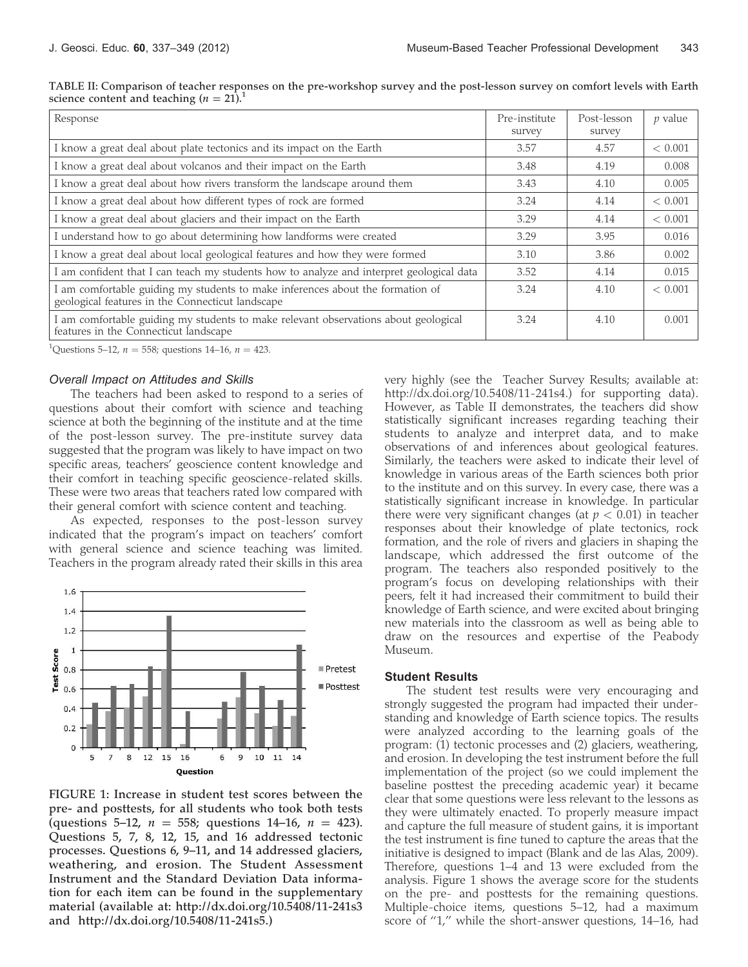| Response                                                                                                                           | Pre-institute<br>survey | Post-lesson<br>survey | $p$ value |
|------------------------------------------------------------------------------------------------------------------------------------|-------------------------|-----------------------|-----------|
| I know a great deal about plate tectonics and its impact on the Earth                                                              | 3.57                    | 4.57                  | < 0.001   |
| I know a great deal about volcanos and their impact on the Earth                                                                   | 3.48                    | 4.19                  | 0.008     |
| I know a great deal about how rivers transform the landscape around them                                                           | 3.43                    | 4.10                  | 0.005     |
| I know a great deal about how different types of rock are formed                                                                   | 3.24                    | 4.14                  | < 0.001   |
| I know a great deal about glaciers and their impact on the Earth                                                                   | 3.29                    | 4.14                  | < 0.001   |
| I understand how to go about determining how landforms were created                                                                | 3.29                    | 3.95                  | 0.016     |
| I know a great deal about local geological features and how they were formed                                                       | 3.10                    | 3.86                  | 0.002     |
| I am confident that I can teach my students how to analyze and interpret geological data                                           | 3.52                    | 4.14                  | 0.015     |
| I am comfortable guiding my students to make inferences about the formation of<br>geological features in the Connecticut landscape | 3.24                    | 4.10                  | < 0.001   |
| I am comfortable guiding my students to make relevant observations about geological<br>features in the Connecticut landscape       | 3.24                    | 4.10                  | 0.001     |

TABLE II: Comparison of teacher responses on the pre-workshop survey and the post-lesson survey on comfort levels with Earth science content and teaching  $(n = 21).$ <sup>1</sup>

<sup>1</sup>Questions 5–12,  $n = 558$ ; questions 14–16,  $n = 423$ .

#### Overall Impact on Attitudes and Skills

The teachers had been asked to respond to a series of questions about their comfort with science and teaching science at both the beginning of the institute and at the time of the post-lesson survey. The pre-institute survey data suggested that the program was likely to have impact on two specific areas, teachers' geoscience content knowledge and their comfort in teaching specific geoscience-related skills. These were two areas that teachers rated low compared with their general comfort with science content and teaching.

As expected, responses to the post-lesson survey indicated that the program's impact on teachers' comfort with general science and science teaching was limited. Teachers in the program already rated their skills in this area



FIGURE 1: Increase in student test scores between the pre- and posttests, for all students who took both tests (questions 5–12,  $n = 558$ ; questions 14–16,  $n = 423$ ). Questions 5, 7, 8, 12, 15, and 16 addressed tectonic processes. Questions 6, 9–11, and 14 addressed glaciers, weathering, and erosion. The Student Assessment Instrument and the Standard Deviation Data information for each item can be found in the supplementary material (available at: http://dx.doi.org/10.5408/11-241s3 and http://dx.doi.org/10.5408/11-241s5.)

very highly (see the Teacher Survey Results; available at: http://dx.doi.org/10.5408/11-241s4.) for supporting data). However, as Table II demonstrates, the teachers did show statistically significant increases regarding teaching their students to analyze and interpret data, and to make observations of and inferences about geological features. Similarly, the teachers were asked to indicate their level of knowledge in various areas of the Earth sciences both prior to the institute and on this survey. In every case, there was a statistically significant increase in knowledge. In particular there were very significant changes (at  $p < 0.01$ ) in teacher responses about their knowledge of plate tectonics, rock formation, and the role of rivers and glaciers in shaping the landscape, which addressed the first outcome of the program. The teachers also responded positively to the program's focus on developing relationships with their peers, felt it had increased their commitment to build their knowledge of Earth science, and were excited about bringing new materials into the classroom as well as being able to draw on the resources and expertise of the Peabody Museum.

#### Student Results

The student test results were very encouraging and strongly suggested the program had impacted their understanding and knowledge of Earth science topics. The results were analyzed according to the learning goals of the program: (1) tectonic processes and (2) glaciers, weathering, and erosion. In developing the test instrument before the full implementation of the project (so we could implement the baseline posttest the preceding academic year) it became clear that some questions were less relevant to the lessons as they were ultimately enacted. To properly measure impact and capture the full measure of student gains, it is important the test instrument is fine tuned to capture the areas that the initiative is designed to impact (Blank and de las Alas, 2009). Therefore, questions 1–4 and 13 were excluded from the analysis. Figure 1 shows the average score for the students on the pre- and posttests for the remaining questions. Multiple-choice items, questions 5–12, had a maximum score of ''1,'' while the short-answer questions, 14–16, had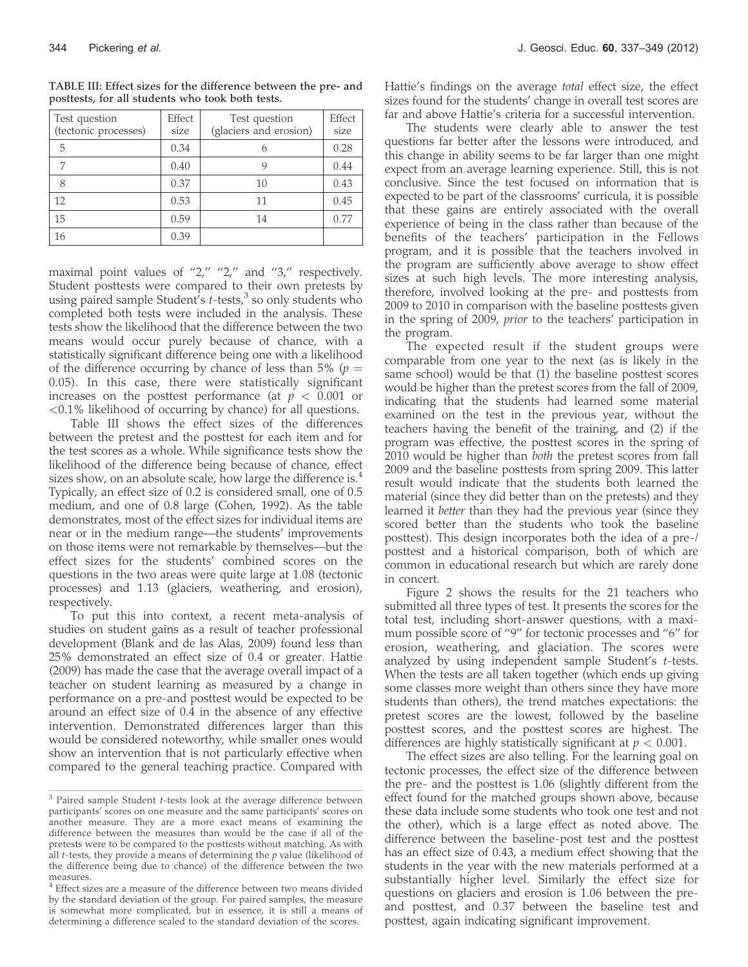| Test question<br>(tectonic processes) | Effect<br>size | Test question<br>(glaciers and erosion) | Effect<br>size |
|---------------------------------------|----------------|-----------------------------------------|----------------|
| 5                                     | 0.34           |                                         | 0.28           |
|                                       | 0.40           |                                         | 0.44           |
|                                       | 0.37           | 10                                      | 0.43           |
| 12                                    | 0.53           | 11                                      | 0.45           |
| 15                                    | 0.59           | 14                                      | 0.77           |
| 16                                    | 0.39           |                                         |                |

TABLE III: Effect sizes for the difference between the pre- and posttests, for all students who took both tests.

maximal point values of "2," "2," and "3," respectively. Student posttests were compared to their own pretests by using paired sample Student's  $t$ -tests, $3$  so only students who completed both tests were included in the analysis. These tests show the likelihood that the difference between the two means would occur purely because of chance, with a statistically significant difference being one with a likelihood of the difference occurring by chance of less than 5% ( $p =$ 0.05). In this case, there were statistically significant increases on the posttest performance (at  $p < 0.001$  or <0.1% likelihood of occurring by chance) for all questions.

Table III shows the effect sizes of the differences between the pretest and the posttest for each item and for the test scores as a whole. While significance tests show the likelihood of the difference being because of chance, effect sizes show, on an absolute scale, how large the difference is.<sup>4</sup> Typically, an effect size of 0.2 is considered small, one of 0.5 medium, and one of 0.8 large (Cohen, 1992). As the table demonstrates, most of the effect sizes for individual items are near or in the medium range—the students' improvements on those items were not remarkable by themselves—but the effect sizes for the students' combined scores on the questions in the two areas were quite large at 1.08 (tectonic processes) and 1.13 (glaciers, weathering, and erosion), respectively.

To put this into context, a recent meta-analysis of studies on student gains as a result of teacher professional development (Blank and de las Alas, 2009) found less than 25% demonstrated an effect size of 0.4 or greater. Hattie (2009) has made the case that the average overall impact of a teacher on student learning as measured by a change in performance on a pre-and posttest would be expected to be around an effect size of 0.4 in the absence of any effective intervention. Demonstrated differences larger than this would be considered noteworthy, while smaller ones would show an intervention that is not particularly effective when compared to the general teaching practice. Compared with Hattie's findings on the average total effect size, the effect sizes found for the students' change in overall test scores are far and above Hattie's criteria for a successful intervention.

The students were clearly able to answer the test questions far better after the lessons were introduced, and this change in ability seems to be far larger than one might expect from an average learning experience. Still, this is not conclusive. Since the test focused on information that is expected to be part of the classrooms' curricula, it is possible that these gains are entirely associated with the overall experience of being in the class rather than because of the benefits of the teachers' participation in the Fellows program, and it is possible that the teachers involved in the program are sufficiently above average to show effect sizes at such high levels. The more interesting analysis, therefore, involved looking at the pre- and posttests from 2009 to 2010 in comparison with the baseline posttests given in the spring of 2009, prior to the teachers' participation in the program.

The expected result if the student groups were comparable from one year to the next (as is likely in the same school) would be that (1) the baseline posttest scores would be higher than the pretest scores from the fall of 2009, indicating that the students had learned some material examined on the test in the previous year, without the teachers having the benefit of the training, and (2) if the program was effective, the posttest scores in the spring of 2010 would be higher than both the pretest scores from fall 2009 and the baseline posttests from spring 2009. This latter result would indicate that the students both learned the material (since they did better than on the pretests) and they learned it better than they had the previous year (since they scored better than the students who took the baseline posttest). This design incorporates both the idea of a pre-/ posttest and a historical comparison, both of which are common in educational research but which are rarely done in concert.

Figure 2 shows the results for the 21 teachers who submitted all three types of test. It presents the scores for the total test, including short-answer questions, with a maximum possible score of ''9'' for tectonic processes and ''6'' for erosion, weathering, and glaciation. The scores were analyzed by using independent sample Student's t-tests. When the tests are all taken together (which ends up giving some classes more weight than others since they have more students than others), the trend matches expectations: the pretest scores are the lowest, followed by the baseline posttest scores, and the posttest scores are highest. The differences are highly statistically significant at  $p < 0.001$ .

The effect sizes are also telling. For the learning goal on tectonic processes, the effect size of the difference between the pre- and the posttest is 1.06 (slightly different from the effect found for the matched groups shown above, because these data include some students who took one test and not the other), which is a large effect as noted above. The difference between the baseline-post test and the posttest has an effect size of 0.43, a medium effect showing that the students in the year with the new materials performed at a substantially higher level. Similarly the effect size for questions on glaciers and erosion is 1.06 between the preand posttest, and 0.37 between the baseline test and posttest, again indicating significant improvement.

 $3$  Paired sample Student  $t$ -tests look at the average difference between participants' scores on one measure and the same participants' scores on another measure. They are a more exact means of examining the difference between the measures than would be the case if all of the pretests were to be compared to the posttests without matching. As with all  $t$ -tests, they provide a means of determining the  $p$  value (likelihood of the difference being due to chance) of the difference between the two measures.

 $^4$  Effect sizes are a measure of the difference between two means divided by the standard deviation of the group. For paired samples, the measure is somewhat more complicated, but in essence, it is still a means of determining a difference scaled to the standard deviation of the scores.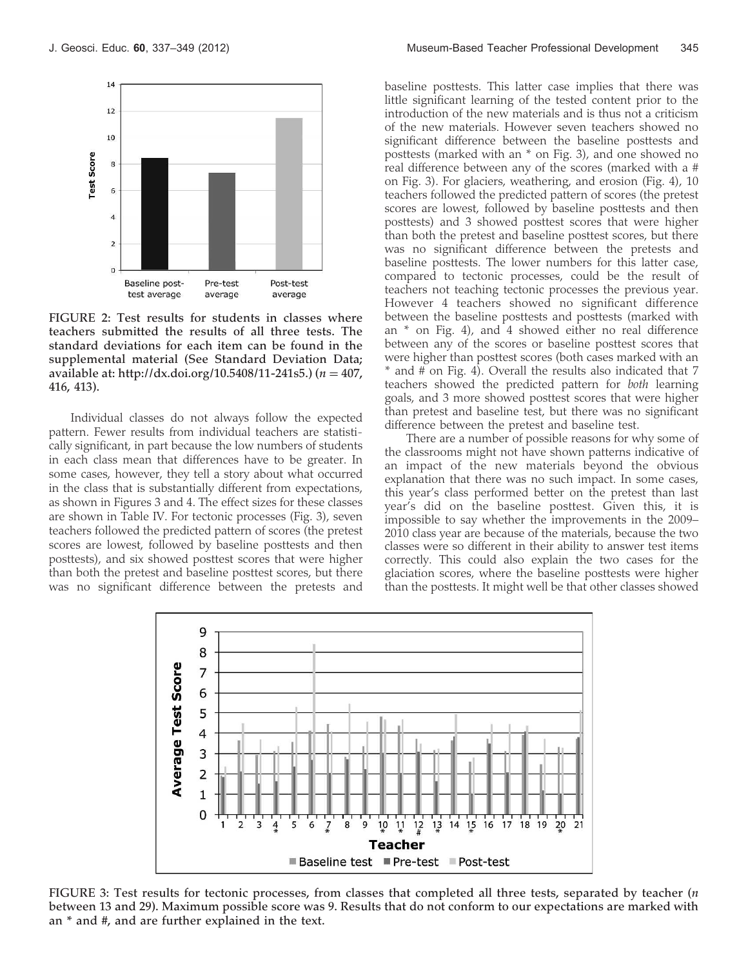

FIGURE 2: Test results for students in classes where teachers submitted the results of all three tests. The standard deviations for each item can be found in the supplemental material (See Standard Deviation Data; available at: http://dx.doi.org/10.5408/11-241s5.) ( $n = 407$ , 416, 413).

Individual classes do not always follow the expected pattern. Fewer results from individual teachers are statistically significant, in part because the low numbers of students in each class mean that differences have to be greater. In some cases, however, they tell a story about what occurred in the class that is substantially different from expectations, as shown in Figures 3 and 4. The effect sizes for these classes are shown in Table IV. For tectonic processes (Fig. 3), seven teachers followed the predicted pattern of scores (the pretest scores are lowest, followed by baseline posttests and then posttests), and six showed posttest scores that were higher than both the pretest and baseline posttest scores, but there was no significant difference between the pretests and

baseline posttests. This latter case implies that there was little significant learning of the tested content prior to the introduction of the new materials and is thus not a criticism of the new materials. However seven teachers showed no significant difference between the baseline posttests and posttests (marked with an \* on Fig. 3), and one showed no real difference between any of the scores (marked with a # on Fig. 3). For glaciers, weathering, and erosion (Fig. 4), 10 teachers followed the predicted pattern of scores (the pretest scores are lowest, followed by baseline posttests and then posttests) and 3 showed posttest scores that were higher than both the pretest and baseline posttest scores, but there was no significant difference between the pretests and baseline posttests. The lower numbers for this latter case, compared to tectonic processes, could be the result of teachers not teaching tectonic processes the previous year. However 4 teachers showed no significant difference between the baseline posttests and posttests (marked with an \* on Fig. 4), and 4 showed either no real difference between any of the scores or baseline posttest scores that were higher than posttest scores (both cases marked with an \* and # on Fig. 4). Overall the results also indicated that 7 teachers showed the predicted pattern for both learning goals, and 3 more showed posttest scores that were higher than pretest and baseline test, but there was no significant difference between the pretest and baseline test.

There are a number of possible reasons for why some of the classrooms might not have shown patterns indicative of an impact of the new materials beyond the obvious explanation that there was no such impact. In some cases, this year's class performed better on the pretest than last year's did on the baseline posttest. Given this, it is impossible to say whether the improvements in the 2009– 2010 class year are because of the materials, because the two classes were so different in their ability to answer test items correctly. This could also explain the two cases for the glaciation scores, where the baseline posttests were higher than the posttests. It might well be that other classes showed



FIGURE 3: Test results for tectonic processes, from classes that completed all three tests, separated by teacher  $(n)$ between 13 and 29). Maximum possible score was 9. Results that do not conform to our expectations are marked with an \* and #, and are further explained in the text.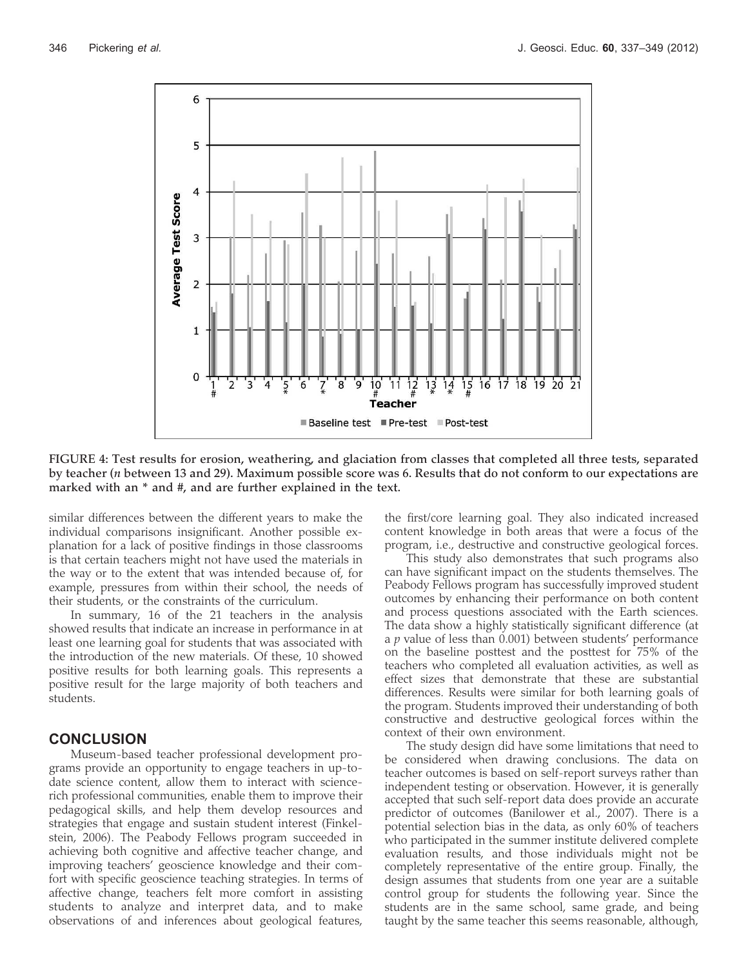

FIGURE 4: Test results for erosion, weathering, and glaciation from classes that completed all three tests, separated by teacher (n between 13 and 29). Maximum possible score was 6. Results that do not conform to our expectations are marked with an \* and #, and are further explained in the text.

similar differences between the different years to make the individual comparisons insignificant. Another possible explanation for a lack of positive findings in those classrooms is that certain teachers might not have used the materials in the way or to the extent that was intended because of, for example, pressures from within their school, the needs of their students, or the constraints of the curriculum.

In summary, 16 of the 21 teachers in the analysis showed results that indicate an increase in performance in at least one learning goal for students that was associated with the introduction of the new materials. Of these, 10 showed positive results for both learning goals. This represents a positive result for the large majority of both teachers and students.

# **CONCLUSION**

Museum-based teacher professional development programs provide an opportunity to engage teachers in up-todate science content, allow them to interact with sciencerich professional communities, enable them to improve their pedagogical skills, and help them develop resources and strategies that engage and sustain student interest (Finkelstein, 2006). The Peabody Fellows program succeeded in achieving both cognitive and affective teacher change, and improving teachers' geoscience knowledge and their comfort with specific geoscience teaching strategies. In terms of affective change, teachers felt more comfort in assisting students to analyze and interpret data, and to make observations of and inferences about geological features,

the first/core learning goal. They also indicated increased content knowledge in both areas that were a focus of the program, i.e., destructive and constructive geological forces.

This study also demonstrates that such programs also can have significant impact on the students themselves. The Peabody Fellows program has successfully improved student outcomes by enhancing their performance on both content and process questions associated with the Earth sciences. The data show a highly statistically significant difference (at a  $p$  value of less than 0.001) between students' performance on the baseline posttest and the posttest for 75% of the teachers who completed all evaluation activities, as well as effect sizes that demonstrate that these are substantial differences. Results were similar for both learning goals of the program. Students improved their understanding of both constructive and destructive geological forces within the context of their own environment.

The study design did have some limitations that need to be considered when drawing conclusions. The data on teacher outcomes is based on self-report surveys rather than independent testing or observation. However, it is generally accepted that such self-report data does provide an accurate predictor of outcomes (Banilower et al., 2007). There is a potential selection bias in the data, as only 60% of teachers who participated in the summer institute delivered complete evaluation results, and those individuals might not be completely representative of the entire group. Finally, the design assumes that students from one year are a suitable control group for students the following year. Since the students are in the same school, same grade, and being taught by the same teacher this seems reasonable, although,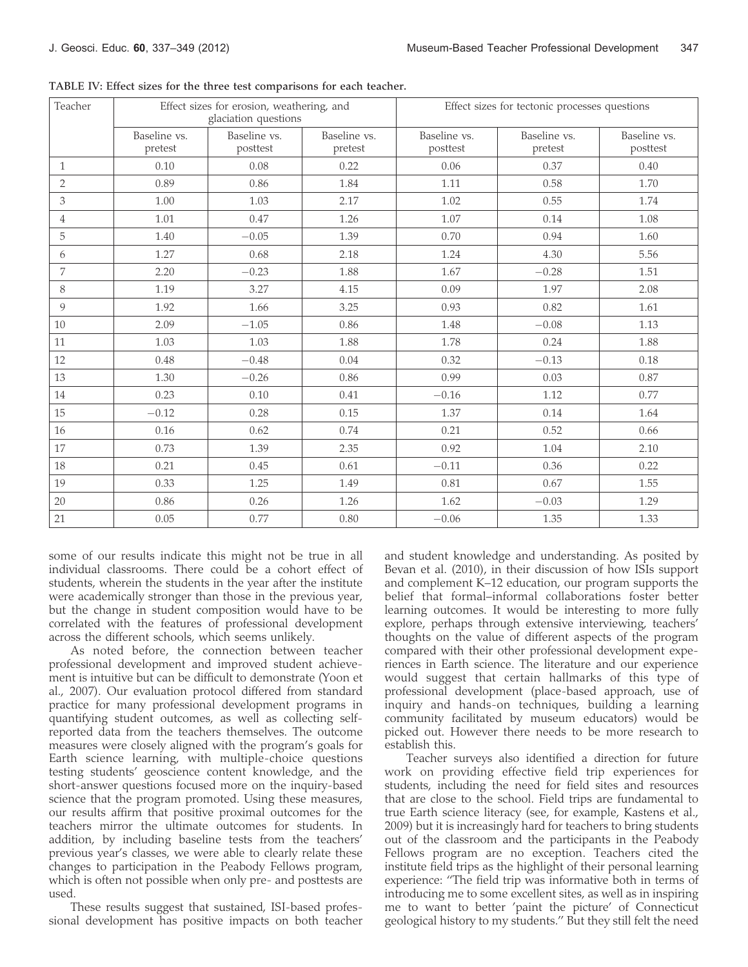| Teacher                   | Effect sizes for erosion, weathering, and<br>glaciation questions |                          |                         | Effect sizes for tectonic processes questions |                         |                          |
|---------------------------|-------------------------------------------------------------------|--------------------------|-------------------------|-----------------------------------------------|-------------------------|--------------------------|
|                           | Baseline vs.<br>pretest                                           | Baseline vs.<br>posttest | Baseline vs.<br>pretest | Baseline vs.<br>posttest                      | Baseline vs.<br>pretest | Baseline vs.<br>posttest |
| 1                         | 0.10                                                              | 0.08                     | 0.22                    | 0.06                                          | 0.37                    | 0.40                     |
| $\overline{2}$            | 0.89                                                              | 0.86                     | 1.84                    | 1.11                                          | 0.58                    | 1.70                     |
| $\ensuremath{\mathsf{3}}$ | 1.00                                                              | 1.03                     | 2.17                    | 1.02                                          | 0.55                    | 1.74                     |
| $\overline{4}$            | 1.01                                                              | 0.47                     | 1.26                    | 1.07                                          | 0.14                    | 1.08                     |
| 5                         | 1.40                                                              | $-0.05$                  | 1.39                    | 0.70                                          | 0.94                    | 1.60                     |
| 6                         | 1.27                                                              | 0.68                     | 2.18                    | 1.24                                          | 4.30                    | 5.56                     |
| 7                         | 2.20                                                              | $-0.23$                  | 1.88                    | 1.67                                          | $-0.28$                 | 1.51                     |
| 8                         | 1.19                                                              | 3.27                     | 4.15                    | 0.09                                          | 1.97                    | 2.08                     |
| $\mathcal{Q}$             | 1.92                                                              | 1.66                     | 3.25                    | 0.93                                          | 0.82                    | 1.61                     |
| 10                        | 2.09                                                              | $-1.05$                  | 0.86                    | 1.48                                          | $-0.08$                 | 1.13                     |
| 11                        | 1.03                                                              | 1.03                     | 1.88                    | 1.78                                          | 0.24                    | 1.88                     |
| $12\,$                    | 0.48                                                              | $-0.48$                  | 0.04                    | 0.32                                          | $-0.13$                 | 0.18                     |
| 13                        | 1.30                                                              | $-0.26$                  | 0.86                    | 0.99                                          | 0.03                    | 0.87                     |
| $14\,$                    | 0.23                                                              | 0.10                     | 0.41                    | $-0.16$                                       | 1.12                    | 0.77                     |
| $15\,$                    | $-0.12$                                                           | 0.28                     | 0.15                    | 1.37                                          | 0.14                    | 1.64                     |
| 16                        | 0.16                                                              | 0.62                     | 0.74                    | 0.21                                          | 0.52                    | 0.66                     |
| $17\,$                    | 0.73                                                              | 1.39                     | 2.35                    | 0.92                                          | 1.04                    | 2.10                     |
| 18                        | 0.21                                                              | 0.45                     | 0.61                    | $-0.11$                                       | 0.36                    | 0.22                     |
| 19                        | 0.33                                                              | 1.25                     | 1.49                    | 0.81                                          | 0.67                    | 1.55                     |
| 20                        | 0.86                                                              | 0.26                     | 1.26                    | 1.62                                          | $-0.03$                 | 1.29                     |
| 21                        | 0.05                                                              | 0.77                     | 0.80                    | $-0.06$                                       | 1.35                    | 1.33                     |

TABLE IV: Effect sizes for the three test comparisons for each teacher.

some of our results indicate this might not be true in all individual classrooms. There could be a cohort effect of students, wherein the students in the year after the institute were academically stronger than those in the previous year, but the change in student composition would have to be correlated with the features of professional development across the different schools, which seems unlikely.

As noted before, the connection between teacher professional development and improved student achievement is intuitive but can be difficult to demonstrate (Yoon et al., 2007). Our evaluation protocol differed from standard practice for many professional development programs in quantifying student outcomes, as well as collecting selfreported data from the teachers themselves. The outcome measures were closely aligned with the program's goals for Earth science learning, with multiple-choice questions testing students' geoscience content knowledge, and the short-answer questions focused more on the inquiry-based science that the program promoted. Using these measures, our results affirm that positive proximal outcomes for the teachers mirror the ultimate outcomes for students. In addition, by including baseline tests from the teachers' previous year's classes, we were able to clearly relate these changes to participation in the Peabody Fellows program, which is often not possible when only pre- and posttests are used.

These results suggest that sustained, ISI-based professional development has positive impacts on both teacher and student knowledge and understanding. As posited by Bevan et al. (2010), in their discussion of how ISIs support and complement K–12 education, our program supports the belief that formal–informal collaborations foster better learning outcomes. It would be interesting to more fully explore, perhaps through extensive interviewing, teachers' thoughts on the value of different aspects of the program compared with their other professional development experiences in Earth science. The literature and our experience would suggest that certain hallmarks of this type of professional development (place-based approach, use of inquiry and hands-on techniques, building a learning community facilitated by museum educators) would be picked out. However there needs to be more research to establish this.

Teacher surveys also identified a direction for future work on providing effective field trip experiences for students, including the need for field sites and resources that are close to the school. Field trips are fundamental to true Earth science literacy (see, for example, Kastens et al., 2009) but it is increasingly hard for teachers to bring students out of the classroom and the participants in the Peabody Fellows program are no exception. Teachers cited the institute field trips as the highlight of their personal learning experience: ''The field trip was informative both in terms of introducing me to some excellent sites, as well as in inspiring me to want to better 'paint the picture' of Connecticut geological history to my students.'' But they still felt the need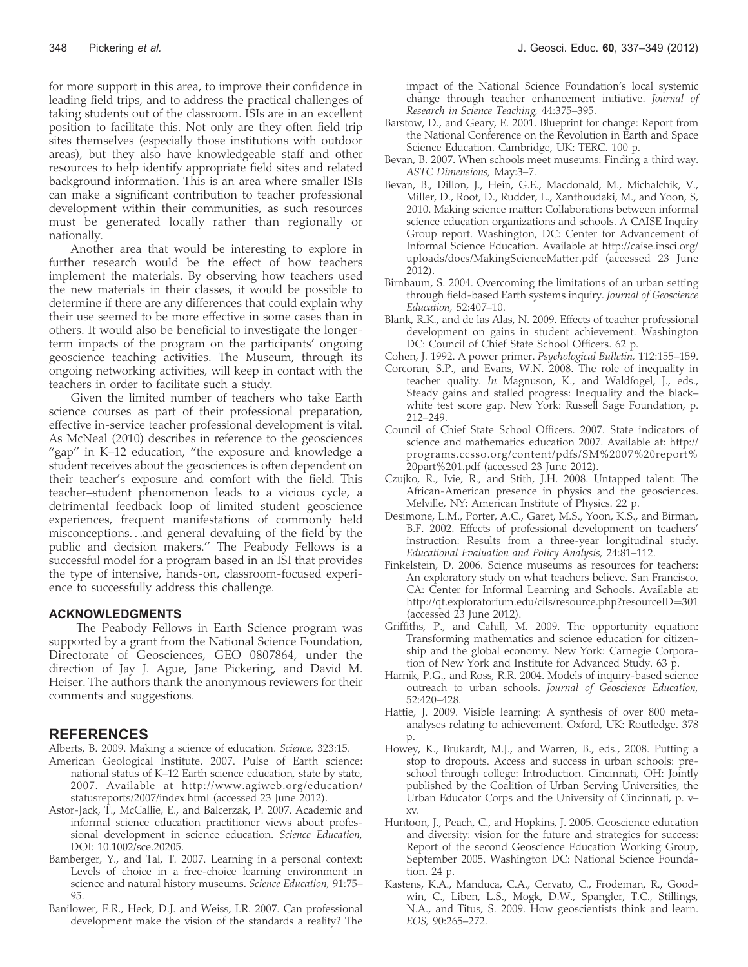for more support in this area, to improve their confidence in leading field trips, and to address the practical challenges of taking students out of the classroom. ISIs are in an excellent position to facilitate this. Not only are they often field trip sites themselves (especially those institutions with outdoor areas), but they also have knowledgeable staff and other resources to help identify appropriate field sites and related background information. This is an area where smaller ISIs can make a significant contribution to teacher professional development within their communities, as such resources must be generated locally rather than regionally or nationally.

Another area that would be interesting to explore in further research would be the effect of how teachers implement the materials. By observing how teachers used the new materials in their classes, it would be possible to determine if there are any differences that could explain why their use seemed to be more effective in some cases than in others. It would also be beneficial to investigate the longerterm impacts of the program on the participants' ongoing geoscience teaching activities. The Museum, through its ongoing networking activities, will keep in contact with the teachers in order to facilitate such a study.

Given the limited number of teachers who take Earth science courses as part of their professional preparation, effective in-service teacher professional development is vital. As McNeal (2010) describes in reference to the geosciences "gap" in K-12 education, "the exposure and knowledge a student receives about the geosciences is often dependent on their teacher's exposure and comfort with the field. This teacher–student phenomenon leads to a vicious cycle, a detrimental feedback loop of limited student geoscience experiences, frequent manifestations of commonly held misconceptions. . .and general devaluing of the field by the public and decision makers.'' The Peabody Fellows is a successful model for a program based in an ISI that provides the type of intensive, hands-on, classroom-focused experience to successfully address this challenge.

#### ACKNOWLEDGMENTS

The Peabody Fellows in Earth Science program was supported by a grant from the National Science Foundation, Directorate of Geosciences, GEO 0807864, under the direction of Jay J. Ague, Jane Pickering, and David M. Heiser. The authors thank the anonymous reviewers for their comments and suggestions.

## **REFERENCES**

Alberts, B. 2009. Making a science of education. Science, 323:15.

- American Geological Institute. 2007. Pulse of Earth science: national status of K–12 Earth science education, state by state, 2007. Available at http://www.agiweb.org/education/ statusreports/2007/index.html (accessed 23 June 2012).
- Astor-Jack, T., McCallie, E., and Balcerzak, P. 2007. Academic and informal science education practitioner views about professional development in science education. Science Education, DOI: 10.1002/sce.20205.
- Bamberger, Y., and Tal, T. 2007. Learning in a personal context: Levels of choice in a free-choice learning environment in science and natural history museums. Science Education, 91:75– 95.
- Banilower, E.R., Heck, D.J. and Weiss, I.R. 2007. Can professional development make the vision of the standards a reality? The

impact of the National Science Foundation's local systemic change through teacher enhancement initiative. Journal of Research in Science Teaching, 44:375–395.

- Barstow, D., and Geary, E. 2001. Blueprint for change: Report from the National Conference on the Revolution in Earth and Space Science Education. Cambridge, UK: TERC. 100 p.
- Bevan, B. 2007. When schools meet museums: Finding a third way. ASTC Dimensions, May:3–7.
- Bevan, B., Dillon, J., Hein, G.E., Macdonald, M., Michalchik, V., Miller, D., Root, D., Rudder, L., Xanthoudaki, M., and Yoon, S, 2010. Making science matter: Collaborations between informal science education organizations and schools. A CAISE Inquiry Group report. Washington, DC: Center for Advancement of Informal Science Education. Available at http://caise.insci.org/ uploads/docs/MakingScienceMatter.pdf (accessed 23 June 2012).
- Birnbaum, S. 2004. Overcoming the limitations of an urban setting through field-based Earth systems inquiry. Journal of Geoscience Education, 52:407–10.
- Blank, R.K., and de las Alas, N. 2009. Effects of teacher professional development on gains in student achievement. Washington DC: Council of Chief State School Officers. 62 p.
- Cohen, J. 1992. A power primer. Psychological Bulletin, 112:155–159.
- Corcoran, S.P., and Evans, W.N. 2008. The role of inequality in teacher quality. In Magnuson, K., and Waldfogel, J., eds., Steady gains and stalled progress: Inequality and the black– white test score gap. New York: Russell Sage Foundation, p. 212–249.
- Council of Chief State School Officers. 2007. State indicators of science and mathematics education 2007. Available at: http:// programs.ccsso.org/content/pdfs/SM%2007%20report% 20part%201.pdf (accessed 23 June 2012).
- Czujko, R., Ivie, R., and Stith, J.H. 2008. Untapped talent: The African-American presence in physics and the geosciences. Melville, NY: American Institute of Physics. 22 p.
- Desimone, L.M., Porter, A.C., Garet, M.S., Yoon, K.S., and Birman, B.F. 2002. Effects of professional development on teachers' instruction: Results from a three-year longitudinal study. Educational Evaluation and Policy Analysis, 24:81–112.
- Finkelstein, D. 2006. Science museums as resources for teachers: An exploratory study on what teachers believe. San Francisco, CA: Center for Informal Learning and Schools. Available at: http://qt.exploratorium.edu/cils/resource.php?resourceID=301 (accessed 23 June 2012).
- Griffiths, P., and Cahill, M. 2009. The opportunity equation: Transforming mathematics and science education for citizenship and the global economy. New York: Carnegie Corporation of New York and Institute for Advanced Study. 63 p.
- Harnik, P.G., and Ross, R.R. 2004. Models of inquiry-based science outreach to urban schools. Journal of Geoscience Education, 52:420–428.
- Hattie, J. 2009. Visible learning: A synthesis of over 800 metaanalyses relating to achievement. Oxford, UK: Routledge. 378 p.
- Howey, K., Brukardt, M.J., and Warren, B., eds., 2008. Putting a stop to dropouts. Access and success in urban schools: preschool through college: Introduction. Cincinnati, OH: Jointly published by the Coalition of Urban Serving Universities, the Urban Educator Corps and the University of Cincinnati, p. v– xv.
- Huntoon, J., Peach, C., and Hopkins, J. 2005. Geoscience education and diversity: vision for the future and strategies for success: Report of the second Geoscience Education Working Group, September 2005. Washington DC: National Science Foundation. 24 p.
- Kastens, K.A., Manduca, C.A., Cervato, C., Frodeman, R., Goodwin, C., Liben, L.S., Mogk, D.W., Spangler, T.C., Stillings, N.A., and Titus, S. 2009. How geoscientists think and learn. EOS, 90:265–272.